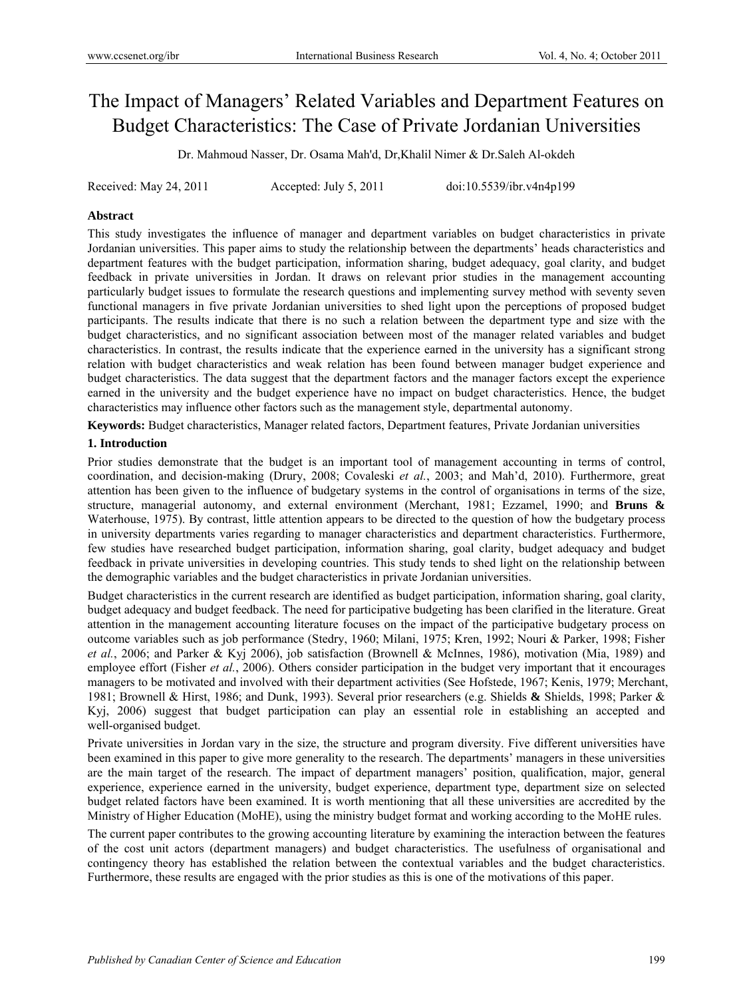# The Impact of Managers' Related Variables and Department Features on Budget Characteristics: The Case of Private Jordanian Universities

Dr. Mahmoud Nasser, Dr. Osama Mah'd, Dr,Khalil Nimer & Dr.Saleh Al-okdeh

Received: May 24, 2011 Accepted: July 5, 2011 doi:10.5539/ibr.v4n4p199

# **Abstract**

This study investigates the influence of manager and department variables on budget characteristics in private Jordanian universities. This paper aims to study the relationship between the departments' heads characteristics and department features with the budget participation, information sharing, budget adequacy, goal clarity, and budget feedback in private universities in Jordan. It draws on relevant prior studies in the management accounting particularly budget issues to formulate the research questions and implementing survey method with seventy seven functional managers in five private Jordanian universities to shed light upon the perceptions of proposed budget participants. The results indicate that there is no such a relation between the department type and size with the budget characteristics, and no significant association between most of the manager related variables and budget characteristics. In contrast, the results indicate that the experience earned in the university has a significant strong relation with budget characteristics and weak relation has been found between manager budget experience and budget characteristics. The data suggest that the department factors and the manager factors except the experience earned in the university and the budget experience have no impact on budget characteristics. Hence, the budget characteristics may influence other factors such as the management style, departmental autonomy.

**Keywords:** Budget characteristics, Manager related factors, Department features, Private Jordanian universities

# **1. Introduction**

Prior studies demonstrate that the budget is an important tool of management accounting in terms of control, coordination, and decision-making (Drury, 2008; Covaleski *et al.*, 2003; and Mah'd, 2010). Furthermore, great attention has been given to the influence of budgetary systems in the control of organisations in terms of the size, structure, managerial autonomy, and external environment (Merchant, 1981; Ezzamel, 1990; and **Bruns &** Waterhouse, 1975). By contrast, little attention appears to be directed to the question of how the budgetary process in university departments varies regarding to manager characteristics and department characteristics. Furthermore, few studies have researched budget participation, information sharing, goal clarity, budget adequacy and budget feedback in private universities in developing countries. This study tends to shed light on the relationship between the demographic variables and the budget characteristics in private Jordanian universities.

Budget characteristics in the current research are identified as budget participation, information sharing, goal clarity, budget adequacy and budget feedback. The need for participative budgeting has been clarified in the literature. Great attention in the management accounting literature focuses on the impact of the participative budgetary process on outcome variables such as job performance (Stedry, 1960; Milani, 1975; Kren, 1992; Nouri & Parker, 1998; Fisher *et al.*, 2006; and Parker & Kyj 2006), job satisfaction (Brownell & McInnes, 1986), motivation (Mia, 1989) and employee effort (Fisher *et al.*, 2006). Others consider participation in the budget very important that it encourages managers to be motivated and involved with their department activities (See Hofstede, 1967; Kenis, 1979; Merchant, 1981; Brownell & Hirst, 1986; and Dunk, 1993). Several prior researchers (e.g. Shields **&** Shields, 1998; Parker & Kyj, 2006) suggest that budget participation can play an essential role in establishing an accepted and well-organised budget.

Private universities in Jordan vary in the size, the structure and program diversity. Five different universities have been examined in this paper to give more generality to the research. The departments' managers in these universities are the main target of the research. The impact of department managers' position, qualification, major, general experience, experience earned in the university, budget experience, department type, department size on selected budget related factors have been examined. It is worth mentioning that all these universities are accredited by the Ministry of Higher Education (MoHE), using the ministry budget format and working according to the MoHE rules.

The current paper contributes to the growing accounting literature by examining the interaction between the features of the cost unit actors (department managers) and budget characteristics. The usefulness of organisational and contingency theory has established the relation between the contextual variables and the budget characteristics. Furthermore, these results are engaged with the prior studies as this is one of the motivations of this paper.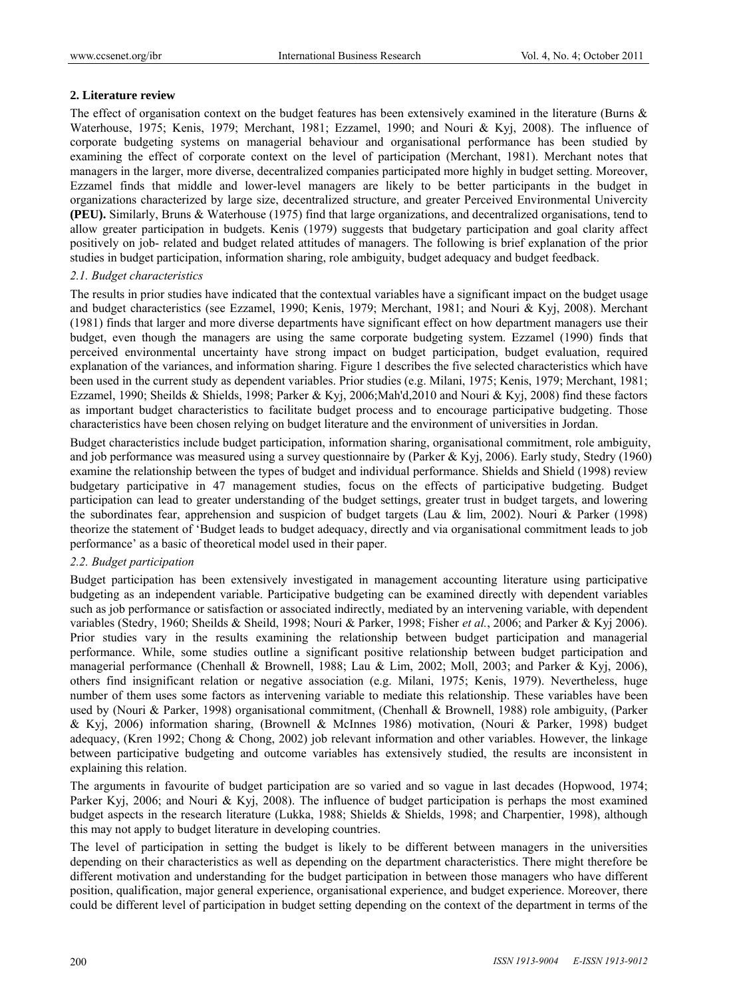#### **2. Literature review**

The effect of organisation context on the budget features has been extensively examined in the literature (Burns & Waterhouse, 1975; Kenis, 1979; Merchant, 1981; Ezzamel, 1990; and Nouri & Kyj, 2008). The influence of corporate budgeting systems on managerial behaviour and organisational performance has been studied by examining the effect of corporate context on the level of participation (Merchant, 1981). Merchant notes that managers in the larger, more diverse, decentralized companies participated more highly in budget setting. Moreover, Ezzamel finds that middle and lower-level managers are likely to be better participants in the budget in organizations characterized by large size, decentralized structure, and greater Perceived Environmental Univercity **(PEU).** Similarly, Bruns & Waterhouse (1975) find that large organizations, and decentralized organisations, tend to allow greater participation in budgets. Kenis (1979) suggests that budgetary participation and goal clarity affect positively on job- related and budget related attitudes of managers. The following is brief explanation of the prior studies in budget participation, information sharing, role ambiguity, budget adequacy and budget feedback.

## *2.1. Budget characteristics*

The results in prior studies have indicated that the contextual variables have a significant impact on the budget usage and budget characteristics (see Ezzamel, 1990; Kenis, 1979; Merchant, 1981; and Nouri & Kyj, 2008). Merchant (1981) finds that larger and more diverse departments have significant effect on how department managers use their budget, even though the managers are using the same corporate budgeting system. Ezzamel (1990) finds that perceived environmental uncertainty have strong impact on budget participation, budget evaluation, required explanation of the variances, and information sharing. Figure 1 describes the five selected characteristics which have been used in the current study as dependent variables. Prior studies (e.g. Milani, 1975; Kenis, 1979; Merchant, 1981; Ezzamel, 1990; Sheilds & Shields, 1998; Parker & Kyj, 2006;Mah'd,2010 and Nouri & Kyj, 2008) find these factors as important budget characteristics to facilitate budget process and to encourage participative budgeting. Those characteristics have been chosen relying on budget literature and the environment of universities in Jordan.

Budget characteristics include budget participation, information sharing, organisational commitment, role ambiguity, and job performance was measured using a survey questionnaire by (Parker & Kyj, 2006). Early study, Stedry (1960) examine the relationship between the types of budget and individual performance. Shields and Shield (1998) review budgetary participative in 47 management studies, focus on the effects of participative budgeting. Budget participation can lead to greater understanding of the budget settings, greater trust in budget targets, and lowering the subordinates fear, apprehension and suspicion of budget targets (Lau & lim, 2002). Nouri & Parker (1998) theorize the statement of 'Budget leads to budget adequacy, directly and via organisational commitment leads to job performance' as a basic of theoretical model used in their paper.

#### *2.2. Budget participation*

Budget participation has been extensively investigated in management accounting literature using participative budgeting as an independent variable. Participative budgeting can be examined directly with dependent variables such as job performance or satisfaction or associated indirectly, mediated by an intervening variable, with dependent variables (Stedry, 1960; Sheilds & Sheild, 1998; Nouri & Parker, 1998; Fisher *et al.*, 2006; and Parker & Kyj 2006). Prior studies vary in the results examining the relationship between budget participation and managerial performance. While, some studies outline a significant positive relationship between budget participation and managerial performance (Chenhall & Brownell, 1988; Lau & Lim, 2002; Moll, 2003; and Parker & Kyj, 2006), others find insignificant relation or negative association (e.g. Milani, 1975; Kenis, 1979). Nevertheless, huge number of them uses some factors as intervening variable to mediate this relationship. These variables have been used by (Nouri & Parker, 1998) organisational commitment, (Chenhall & Brownell, 1988) role ambiguity, (Parker & Kyj, 2006) information sharing, (Brownell & McInnes 1986) motivation, (Nouri & Parker, 1998) budget adequacy, (Kren 1992; Chong & Chong, 2002) job relevant information and other variables. However, the linkage between participative budgeting and outcome variables has extensively studied, the results are inconsistent in explaining this relation.

The arguments in favourite of budget participation are so varied and so vague in last decades (Hopwood, 1974; Parker Kyj, 2006; and Nouri & Kyj, 2008). The influence of budget participation is perhaps the most examined budget aspects in the research literature (Lukka, 1988; Shields & Shields, 1998; and Charpentier, 1998), although this may not apply to budget literature in developing countries.

The level of participation in setting the budget is likely to be different between managers in the universities depending on their characteristics as well as depending on the department characteristics. There might therefore be different motivation and understanding for the budget participation in between those managers who have different position, qualification, major general experience, organisational experience, and budget experience. Moreover, there could be different level of participation in budget setting depending on the context of the department in terms of the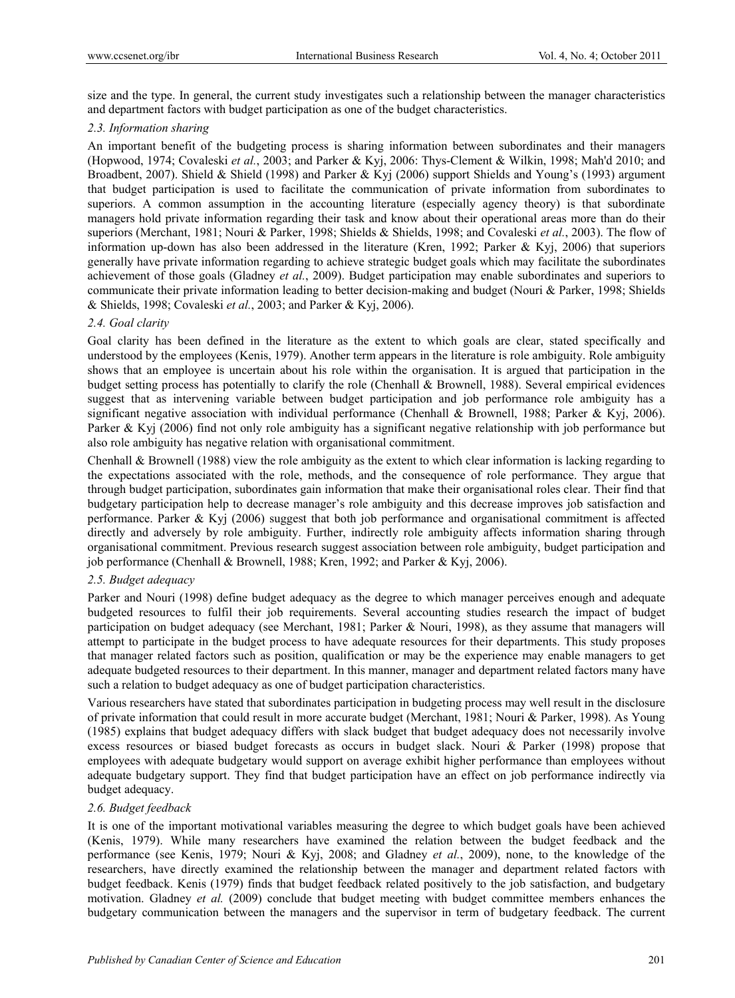size and the type. In general, the current study investigates such a relationship between the manager characteristics and department factors with budget participation as one of the budget characteristics.

# *2.3. Information sharing*

An important benefit of the budgeting process is sharing information between subordinates and their managers (Hopwood, 1974; Covaleski *et al.*, 2003; and Parker & Kyj, 2006: Thys-Clement & Wilkin, 1998; Mah'd 2010; and Broadbent, 2007). Shield & Shield (1998) and Parker & Kyj (2006) support Shields and Young's (1993) argument that budget participation is used to facilitate the communication of private information from subordinates to superiors. A common assumption in the accounting literature (especially agency theory) is that subordinate managers hold private information regarding their task and know about their operational areas more than do their superiors (Merchant, 1981; Nouri & Parker, 1998; Shields & Shields, 1998; and Covaleski *et al.*, 2003). The flow of information up-down has also been addressed in the literature (Kren, 1992; Parker & Kyj, 2006) that superiors generally have private information regarding to achieve strategic budget goals which may facilitate the subordinates achievement of those goals (Gladney *et al.*, 2009). Budget participation may enable subordinates and superiors to communicate their private information leading to better decision-making and budget (Nouri & Parker, 1998; Shields & Shields, 1998; Covaleski *et al.*, 2003; and Parker & Kyj, 2006).

# *2.4. Goal clarity*

Goal clarity has been defined in the literature as the extent to which goals are clear, stated specifically and understood by the employees (Kenis, 1979). Another term appears in the literature is role ambiguity. Role ambiguity shows that an employee is uncertain about his role within the organisation. It is argued that participation in the budget setting process has potentially to clarify the role (Chenhall & Brownell, 1988). Several empirical evidences suggest that as intervening variable between budget participation and job performance role ambiguity has a significant negative association with individual performance (Chenhall & Brownell, 1988; Parker & Kyj, 2006). Parker & Kyj (2006) find not only role ambiguity has a significant negative relationship with job performance but also role ambiguity has negative relation with organisational commitment.

Chenhall & Brownell (1988) view the role ambiguity as the extent to which clear information is lacking regarding to the expectations associated with the role, methods, and the consequence of role performance. They argue that through budget participation, subordinates gain information that make their organisational roles clear. Their find that budgetary participation help to decrease manager's role ambiguity and this decrease improves job satisfaction and performance. Parker & Kyj (2006) suggest that both job performance and organisational commitment is affected directly and adversely by role ambiguity. Further, indirectly role ambiguity affects information sharing through organisational commitment. Previous research suggest association between role ambiguity, budget participation and job performance (Chenhall & Brownell, 1988; Kren, 1992; and Parker & Kyj, 2006).

#### *2.5. Budget adequacy*

Parker and Nouri (1998) define budget adequacy as the degree to which manager perceives enough and adequate budgeted resources to fulfil their job requirements. Several accounting studies research the impact of budget participation on budget adequacy (see Merchant, 1981; Parker & Nouri, 1998), as they assume that managers will attempt to participate in the budget process to have adequate resources for their departments. This study proposes that manager related factors such as position, qualification or may be the experience may enable managers to get adequate budgeted resources to their department. In this manner, manager and department related factors many have such a relation to budget adequacy as one of budget participation characteristics.

Various researchers have stated that subordinates participation in budgeting process may well result in the disclosure of private information that could result in more accurate budget (Merchant, 1981; Nouri & Parker, 1998). As Young (1985) explains that budget adequacy differs with slack budget that budget adequacy does not necessarily involve excess resources or biased budget forecasts as occurs in budget slack. Nouri & Parker (1998) propose that employees with adequate budgetary would support on average exhibit higher performance than employees without adequate budgetary support. They find that budget participation have an effect on job performance indirectly via budget adequacy.

#### *2.6. Budget feedback*

It is one of the important motivational variables measuring the degree to which budget goals have been achieved (Kenis, 1979). While many researchers have examined the relation between the budget feedback and the performance (see Kenis, 1979; Nouri & Kyj, 2008; and Gladney *et al.*, 2009), none, to the knowledge of the researchers, have directly examined the relationship between the manager and department related factors with budget feedback. Kenis (1979) finds that budget feedback related positively to the job satisfaction, and budgetary motivation. Gladney *et al.* (2009) conclude that budget meeting with budget committee members enhances the budgetary communication between the managers and the supervisor in term of budgetary feedback. The current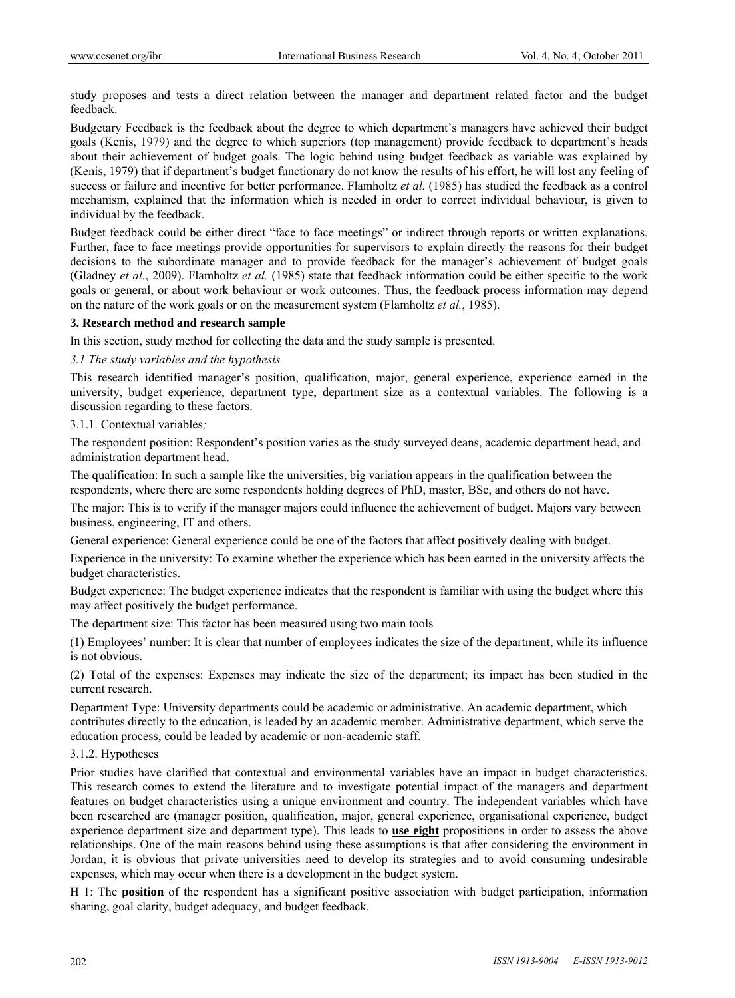study proposes and tests a direct relation between the manager and department related factor and the budget feedback.

Budgetary Feedback is the feedback about the degree to which department's managers have achieved their budget goals (Kenis, 1979) and the degree to which superiors (top management) provide feedback to department's heads about their achievement of budget goals. The logic behind using budget feedback as variable was explained by (Kenis, 1979) that if department's budget functionary do not know the results of his effort, he will lost any feeling of success or failure and incentive for better performance. Flamholtz *et al.* (1985) has studied the feedback as a control mechanism, explained that the information which is needed in order to correct individual behaviour, is given to individual by the feedback.

Budget feedback could be either direct "face to face meetings" or indirect through reports or written explanations. Further, face to face meetings provide opportunities for supervisors to explain directly the reasons for their budget decisions to the subordinate manager and to provide feedback for the manager's achievement of budget goals (Gladney *et al.*, 2009). Flamholtz *et al.* (1985) state that feedback information could be either specific to the work goals or general, or about work behaviour or work outcomes. Thus, the feedback process information may depend on the nature of the work goals or on the measurement system (Flamholtz *et al.*, 1985).

#### **3. Research method and research sample**

In this section, study method for collecting the data and the study sample is presented.

#### *3.1 The study variables and the hypothesis*

This research identified manager's position, qualification, major, general experience, experience earned in the university, budget experience, department type, department size as a contextual variables. The following is a discussion regarding to these factors.

#### 3.1.1. Contextual variables*;*

The respondent position: Respondent's position varies as the study surveyed deans, academic department head, and administration department head.

The qualification: In such a sample like the universities, big variation appears in the qualification between the respondents, where there are some respondents holding degrees of PhD, master, BSc, and others do not have.

The major: This is to verify if the manager majors could influence the achievement of budget. Majors vary between business, engineering, IT and others.

General experience: General experience could be one of the factors that affect positively dealing with budget.

Experience in the university: To examine whether the experience which has been earned in the university affects the budget characteristics.

Budget experience: The budget experience indicates that the respondent is familiar with using the budget where this may affect positively the budget performance.

The department size: This factor has been measured using two main tools

(1) Employees' number: It is clear that number of employees indicates the size of the department, while its influence is not obvious.

(2) Total of the expenses: Expenses may indicate the size of the department; its impact has been studied in the current research.

Department Type: University departments could be academic or administrative. An academic department, which contributes directly to the education, is leaded by an academic member. Administrative department, which serve the education process, could be leaded by academic or non-academic staff.

#### 3.1.2. Hypotheses

Prior studies have clarified that contextual and environmental variables have an impact in budget characteristics. This research comes to extend the literature and to investigate potential impact of the managers and department features on budget characteristics using a unique environment and country. The independent variables which have been researched are (manager position, qualification, major, general experience, organisational experience, budget experience department size and department type). This leads to **use eight** propositions in order to assess the above relationships. One of the main reasons behind using these assumptions is that after considering the environment in Jordan, it is obvious that private universities need to develop its strategies and to avoid consuming undesirable expenses, which may occur when there is a development in the budget system.

H 1: The **position** of the respondent has a significant positive association with budget participation, information sharing, goal clarity, budget adequacy, and budget feedback.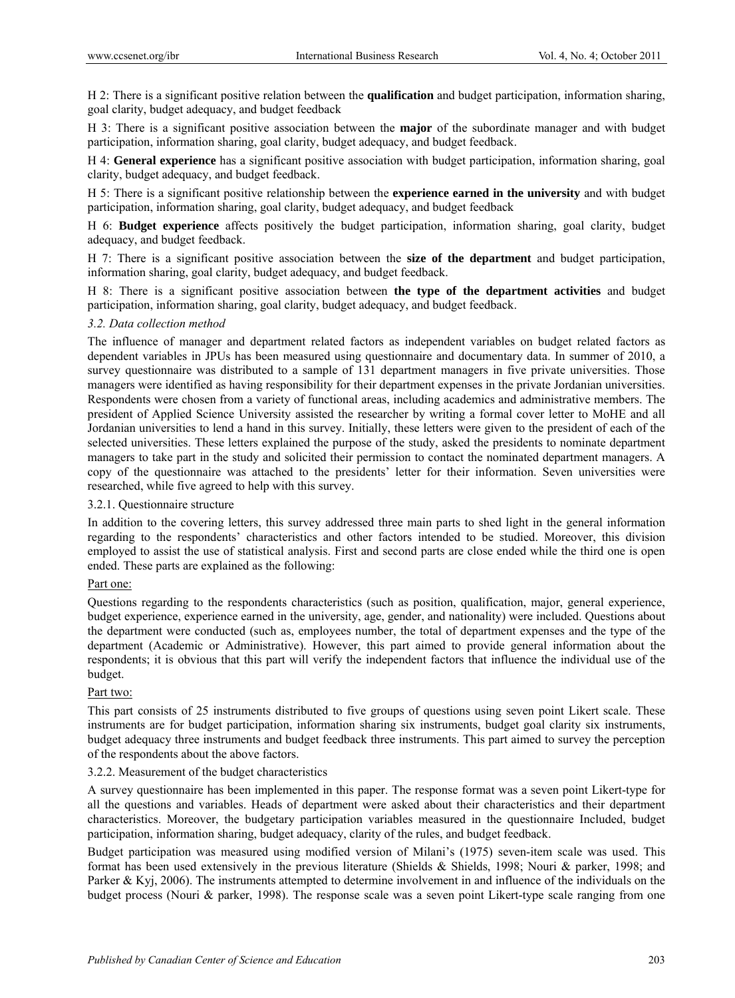H 2: There is a significant positive relation between the **qualification** and budget participation, information sharing, goal clarity, budget adequacy, and budget feedback

H 3: There is a significant positive association between the **major** of the subordinate manager and with budget participation, information sharing, goal clarity, budget adequacy, and budget feedback.

H 4: **General experience** has a significant positive association with budget participation, information sharing, goal clarity, budget adequacy, and budget feedback.

H 5: There is a significant positive relationship between the **experience earned in the university** and with budget participation, information sharing, goal clarity, budget adequacy, and budget feedback

H 6: **Budget experience** affects positively the budget participation, information sharing, goal clarity, budget adequacy, and budget feedback.

H 7: There is a significant positive association between the **size of the department** and budget participation, information sharing, goal clarity, budget adequacy, and budget feedback.

H 8: There is a significant positive association between **the type of the department activities** and budget participation, information sharing, goal clarity, budget adequacy, and budget feedback.

### *3.2. Data collection method*

The influence of manager and department related factors as independent variables on budget related factors as dependent variables in JPUs has been measured using questionnaire and documentary data. In summer of 2010, a survey questionnaire was distributed to a sample of 131 department managers in five private universities. Those managers were identified as having responsibility for their department expenses in the private Jordanian universities. Respondents were chosen from a variety of functional areas, including academics and administrative members. The president of Applied Science University assisted the researcher by writing a formal cover letter to MoHE and all Jordanian universities to lend a hand in this survey. Initially, these letters were given to the president of each of the selected universities. These letters explained the purpose of the study, asked the presidents to nominate department managers to take part in the study and solicited their permission to contact the nominated department managers. A copy of the questionnaire was attached to the presidents' letter for their information. Seven universities were researched, while five agreed to help with this survey.

#### 3.2.1. Questionnaire structure

In addition to the covering letters, this survey addressed three main parts to shed light in the general information regarding to the respondents' characteristics and other factors intended to be studied. Moreover, this division employed to assist the use of statistical analysis. First and second parts are close ended while the third one is open ended. These parts are explained as the following:

#### Part one:

Questions regarding to the respondents characteristics (such as position, qualification, major, general experience, budget experience, experience earned in the university, age, gender, and nationality) were included. Questions about the department were conducted (such as, employees number, the total of department expenses and the type of the department (Academic or Administrative). However, this part aimed to provide general information about the respondents; it is obvious that this part will verify the independent factors that influence the individual use of the budget.

#### Part two:

This part consists of 25 instruments distributed to five groups of questions using seven point Likert scale. These instruments are for budget participation, information sharing six instruments, budget goal clarity six instruments, budget adequacy three instruments and budget feedback three instruments. This part aimed to survey the perception of the respondents about the above factors.

#### 3.2.2. Measurement of the budget characteristics

A survey questionnaire has been implemented in this paper. The response format was a seven point Likert-type for all the questions and variables. Heads of department were asked about their characteristics and their department characteristics. Moreover, the budgetary participation variables measured in the questionnaire Included, budget participation, information sharing, budget adequacy, clarity of the rules, and budget feedback.

Budget participation was measured using modified version of Milani's (1975) seven-item scale was used. This format has been used extensively in the previous literature (Shields & Shields, 1998; Nouri & parker, 1998; and Parker & Kyj, 2006). The instruments attempted to determine involvement in and influence of the individuals on the budget process (Nouri & parker, 1998). The response scale was a seven point Likert-type scale ranging from one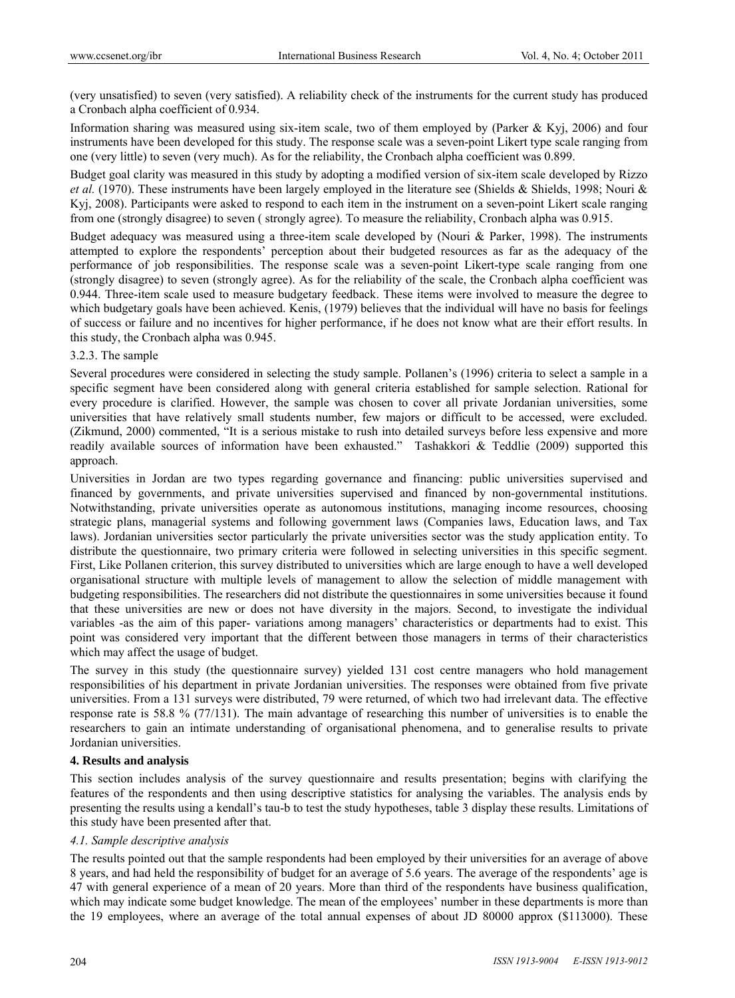(very unsatisfied) to seven (very satisfied). A reliability check of the instruments for the current study has produced a Cronbach alpha coefficient of 0.934.

Information sharing was measured using six-item scale, two of them employed by (Parker & Kyj, 2006) and four instruments have been developed for this study. The response scale was a seven-point Likert type scale ranging from one (very little) to seven (very much). As for the reliability, the Cronbach alpha coefficient was 0.899.

Budget goal clarity was measured in this study by adopting a modified version of six-item scale developed by Rizzo *et al.* (1970). These instruments have been largely employed in the literature see (Shields & Shields, 1998; Nouri & Kyj, 2008). Participants were asked to respond to each item in the instrument on a seven-point Likert scale ranging from one (strongly disagree) to seven ( strongly agree). To measure the reliability, Cronbach alpha was 0.915.

Budget adequacy was measured using a three-item scale developed by (Nouri & Parker, 1998). The instruments attempted to explore the respondents' perception about their budgeted resources as far as the adequacy of the performance of job responsibilities. The response scale was a seven-point Likert-type scale ranging from one (strongly disagree) to seven (strongly agree). As for the reliability of the scale, the Cronbach alpha coefficient was 0.944. Three-item scale used to measure budgetary feedback. These items were involved to measure the degree to which budgetary goals have been achieved. Kenis, (1979) believes that the individual will have no basis for feelings of success or failure and no incentives for higher performance, if he does not know what are their effort results. In this study, the Cronbach alpha was 0.945.

# 3.2.3. The sample

Several procedures were considered in selecting the study sample. Pollanen's (1996) criteria to select a sample in a specific segment have been considered along with general criteria established for sample selection. Rational for every procedure is clarified. However, the sample was chosen to cover all private Jordanian universities, some universities that have relatively small students number, few majors or difficult to be accessed, were excluded. (Zikmund, 2000) commented, "It is a serious mistake to rush into detailed surveys before less expensive and more readily available sources of information have been exhausted." Tashakkori & Teddlie (2009) supported this approach.

Universities in Jordan are two types regarding governance and financing: public universities supervised and financed by governments, and private universities supervised and financed by non-governmental institutions. Notwithstanding, private universities operate as autonomous institutions, managing income resources, choosing strategic plans, managerial systems and following government laws (Companies laws, Education laws, and Tax laws). Jordanian universities sector particularly the private universities sector was the study application entity. To distribute the questionnaire, two primary criteria were followed in selecting universities in this specific segment. First, Like Pollanen criterion, this survey distributed to universities which are large enough to have a well developed organisational structure with multiple levels of management to allow the selection of middle management with budgeting responsibilities. The researchers did not distribute the questionnaires in some universities because it found that these universities are new or does not have diversity in the majors. Second, to investigate the individual variables -as the aim of this paper- variations among managers' characteristics or departments had to exist. This point was considered very important that the different between those managers in terms of their characteristics which may affect the usage of budget.

The survey in this study (the questionnaire survey) yielded 131 cost centre managers who hold management responsibilities of his department in private Jordanian universities. The responses were obtained from five private universities. From a 131 surveys were distributed, 79 were returned, of which two had irrelevant data. The effective response rate is 58.8 % (77/131). The main advantage of researching this number of universities is to enable the researchers to gain an intimate understanding of organisational phenomena, and to generalise results to private Jordanian universities.

#### **4. Results and analysis**

This section includes analysis of the survey questionnaire and results presentation; begins with clarifying the features of the respondents and then using descriptive statistics for analysing the variables. The analysis ends by presenting the results using a kendall's tau-b to test the study hypotheses, table 3 display these results. Limitations of this study have been presented after that.

#### *4.1. Sample descriptive analysis*

The results pointed out that the sample respondents had been employed by their universities for an average of above 8 years, and had held the responsibility of budget for an average of 5.6 years. The average of the respondents' age is 47 with general experience of a mean of 20 years. More than third of the respondents have business qualification, which may indicate some budget knowledge. The mean of the employees' number in these departments is more than the 19 employees, where an average of the total annual expenses of about JD 80000 approx (\$113000). These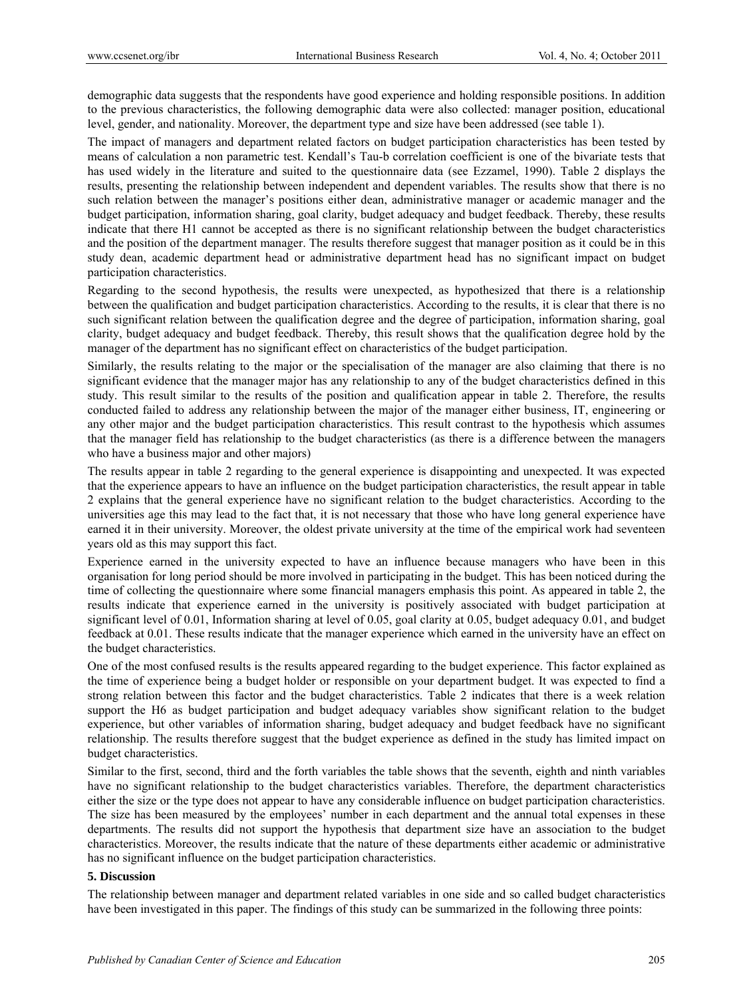demographic data suggests that the respondents have good experience and holding responsible positions. In addition to the previous characteristics, the following demographic data were also collected: manager position, educational level, gender, and nationality. Moreover, the department type and size have been addressed (see table 1).

The impact of managers and department related factors on budget participation characteristics has been tested by means of calculation a non parametric test. Kendall's Tau-b correlation coefficient is one of the bivariate tests that has used widely in the literature and suited to the questionnaire data (see Ezzamel, 1990). Table 2 displays the results, presenting the relationship between independent and dependent variables. The results show that there is no such relation between the manager's positions either dean, administrative manager or academic manager and the budget participation, information sharing, goal clarity, budget adequacy and budget feedback. Thereby, these results indicate that there H1 cannot be accepted as there is no significant relationship between the budget characteristics and the position of the department manager. The results therefore suggest that manager position as it could be in this study dean, academic department head or administrative department head has no significant impact on budget participation characteristics.

Regarding to the second hypothesis, the results were unexpected, as hypothesized that there is a relationship between the qualification and budget participation characteristics. According to the results, it is clear that there is no such significant relation between the qualification degree and the degree of participation, information sharing, goal clarity, budget adequacy and budget feedback. Thereby, this result shows that the qualification degree hold by the manager of the department has no significant effect on characteristics of the budget participation.

Similarly, the results relating to the major or the specialisation of the manager are also claiming that there is no significant evidence that the manager major has any relationship to any of the budget characteristics defined in this study. This result similar to the results of the position and qualification appear in table 2. Therefore, the results conducted failed to address any relationship between the major of the manager either business, IT, engineering or any other major and the budget participation characteristics. This result contrast to the hypothesis which assumes that the manager field has relationship to the budget characteristics (as there is a difference between the managers who have a business major and other majors)

The results appear in table 2 regarding to the general experience is disappointing and unexpected. It was expected that the experience appears to have an influence on the budget participation characteristics, the result appear in table 2 explains that the general experience have no significant relation to the budget characteristics. According to the universities age this may lead to the fact that, it is not necessary that those who have long general experience have earned it in their university. Moreover, the oldest private university at the time of the empirical work had seventeen years old as this may support this fact.

Experience earned in the university expected to have an influence because managers who have been in this organisation for long period should be more involved in participating in the budget. This has been noticed during the time of collecting the questionnaire where some financial managers emphasis this point. As appeared in table 2, the results indicate that experience earned in the university is positively associated with budget participation at significant level of 0.01, Information sharing at level of 0.05, goal clarity at 0.05, budget adequacy 0.01, and budget feedback at 0.01. These results indicate that the manager experience which earned in the university have an effect on the budget characteristics.

One of the most confused results is the results appeared regarding to the budget experience. This factor explained as the time of experience being a budget holder or responsible on your department budget. It was expected to find a strong relation between this factor and the budget characteristics. Table 2 indicates that there is a week relation support the H6 as budget participation and budget adequacy variables show significant relation to the budget experience, but other variables of information sharing, budget adequacy and budget feedback have no significant relationship. The results therefore suggest that the budget experience as defined in the study has limited impact on budget characteristics.

Similar to the first, second, third and the forth variables the table shows that the seventh, eighth and ninth variables have no significant relationship to the budget characteristics variables. Therefore, the department characteristics either the size or the type does not appear to have any considerable influence on budget participation characteristics. The size has been measured by the employees' number in each department and the annual total expenses in these departments. The results did not support the hypothesis that department size have an association to the budget characteristics. Moreover, the results indicate that the nature of these departments either academic or administrative has no significant influence on the budget participation characteristics.

#### **5. Discussion**

The relationship between manager and department related variables in one side and so called budget characteristics have been investigated in this paper. The findings of this study can be summarized in the following three points: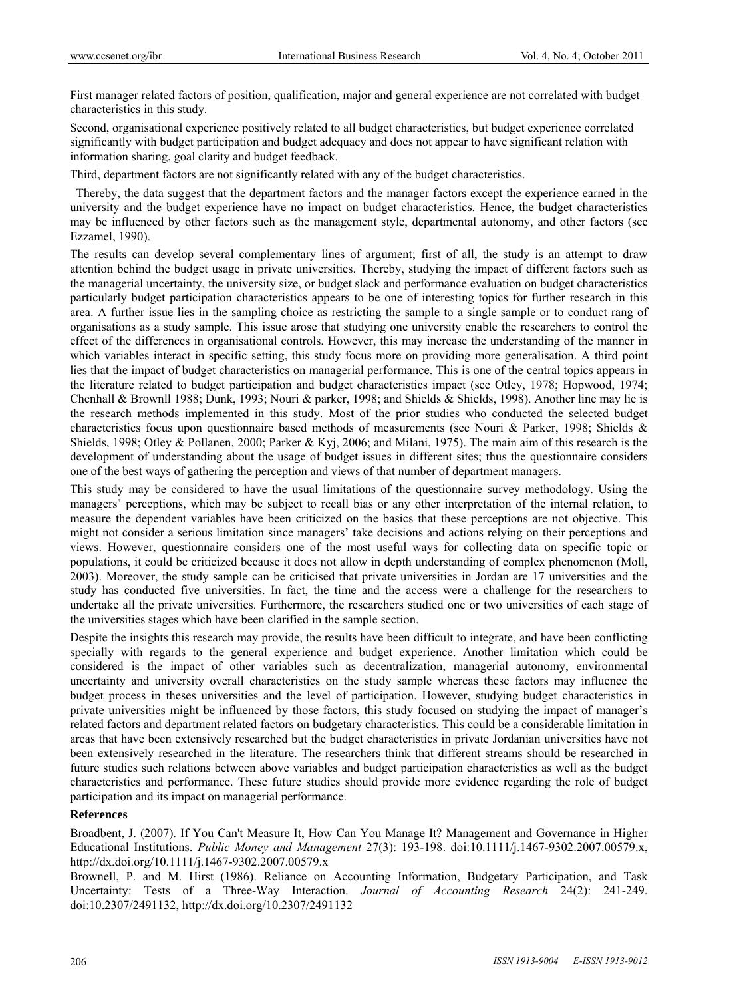First manager related factors of position, qualification, major and general experience are not correlated with budget characteristics in this study.

Second, organisational experience positively related to all budget characteristics, but budget experience correlated significantly with budget participation and budget adequacy and does not appear to have significant relation with information sharing, goal clarity and budget feedback.

Third, department factors are not significantly related with any of the budget characteristics.

 Thereby, the data suggest that the department factors and the manager factors except the experience earned in the university and the budget experience have no impact on budget characteristics. Hence, the budget characteristics may be influenced by other factors such as the management style, departmental autonomy, and other factors (see Ezzamel, 1990).

The results can develop several complementary lines of argument; first of all, the study is an attempt to draw attention behind the budget usage in private universities. Thereby, studying the impact of different factors such as the managerial uncertainty, the university size, or budget slack and performance evaluation on budget characteristics particularly budget participation characteristics appears to be one of interesting topics for further research in this area. A further issue lies in the sampling choice as restricting the sample to a single sample or to conduct rang of organisations as a study sample. This issue arose that studying one university enable the researchers to control the effect of the differences in organisational controls. However, this may increase the understanding of the manner in which variables interact in specific setting, this study focus more on providing more generalisation. A third point lies that the impact of budget characteristics on managerial performance. This is one of the central topics appears in the literature related to budget participation and budget characteristics impact (see Otley, 1978; Hopwood, 1974; Chenhall & Brownll 1988; Dunk, 1993; Nouri & parker, 1998; and Shields & Shields, 1998). Another line may lie is the research methods implemented in this study. Most of the prior studies who conducted the selected budget characteristics focus upon questionnaire based methods of measurements (see Nouri & Parker, 1998; Shields & Shields, 1998; Otley & Pollanen, 2000; Parker & Kyj, 2006; and Milani, 1975). The main aim of this research is the development of understanding about the usage of budget issues in different sites; thus the questionnaire considers one of the best ways of gathering the perception and views of that number of department managers.

This study may be considered to have the usual limitations of the questionnaire survey methodology. Using the managers' perceptions, which may be subject to recall bias or any other interpretation of the internal relation, to measure the dependent variables have been criticized on the basics that these perceptions are not objective. This might not consider a serious limitation since managers' take decisions and actions relying on their perceptions and views. However, questionnaire considers one of the most useful ways for collecting data on specific topic or populations, it could be criticized because it does not allow in depth understanding of complex phenomenon (Moll, 2003). Moreover, the study sample can be criticised that private universities in Jordan are 17 universities and the study has conducted five universities. In fact, the time and the access were a challenge for the researchers to undertake all the private universities. Furthermore, the researchers studied one or two universities of each stage of the universities stages which have been clarified in the sample section.

Despite the insights this research may provide, the results have been difficult to integrate, and have been conflicting specially with regards to the general experience and budget experience. Another limitation which could be considered is the impact of other variables such as decentralization, managerial autonomy, environmental uncertainty and university overall characteristics on the study sample whereas these factors may influence the budget process in theses universities and the level of participation. However, studying budget characteristics in private universities might be influenced by those factors, this study focused on studying the impact of manager's related factors and department related factors on budgetary characteristics. This could be a considerable limitation in areas that have been extensively researched but the budget characteristics in private Jordanian universities have not been extensively researched in the literature. The researchers think that different streams should be researched in future studies such relations between above variables and budget participation characteristics as well as the budget characteristics and performance. These future studies should provide more evidence regarding the role of budget participation and its impact on managerial performance.

## **References**

Broadbent, J. (2007). If You Can't Measure It, How Can You Manage It? Management and Governance in Higher Educational Institutions. *Public Money and Management* 27(3): 193-198. doi:10.1111/j.1467-9302.2007.00579.x, http://dx.doi.org/10.1111/j.1467-9302.2007.00579.x

Brownell, P. and M. Hirst (1986). Reliance on Accounting Information, Budgetary Participation, and Task Uncertainty: Tests of a Three-Way Interaction. *Journal of Accounting Research* 24(2): 241-249. doi:10.2307/2491132, http://dx.doi.org/10.2307/2491132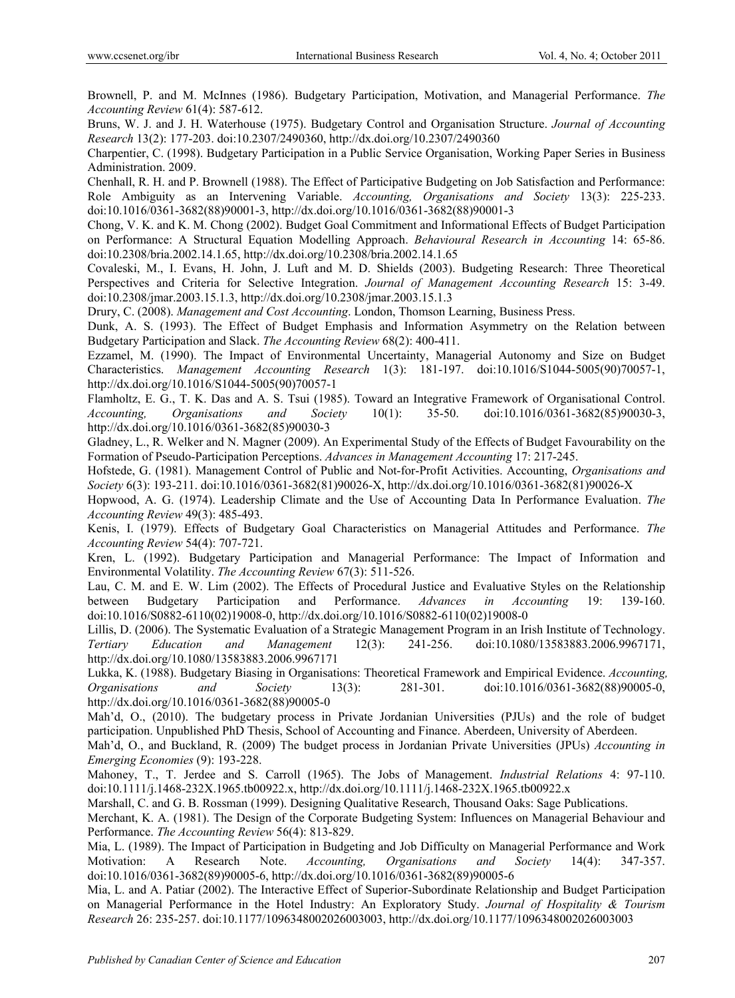Brownell, P. and M. McInnes (1986). Budgetary Participation, Motivation, and Managerial Performance. *The Accounting Review* 61(4): 587-612.

Bruns, W. J. and J. H. Waterhouse (1975). Budgetary Control and Organisation Structure. *Journal of Accounting Research* 13(2): 177-203. doi:10.2307/2490360, http://dx.doi.org/10.2307/2490360

Charpentier, C. (1998). Budgetary Participation in a Public Service Organisation, Working Paper Series in Business Administration. 2009.

Chenhall, R. H. and P. Brownell (1988). The Effect of Participative Budgeting on Job Satisfaction and Performance: Role Ambiguity as an Intervening Variable. *Accounting, Organisations and Society* 13(3): 225-233. doi:10.1016/0361-3682(88)90001-3, http://dx.doi.org/10.1016/0361-3682(88)90001-3

Chong, V. K. and K. M. Chong (2002). Budget Goal Commitment and Informational Effects of Budget Participation on Performance: A Structural Equation Modelling Approach. *Behavioural Research in Accounting* 14: 65-86. doi:10.2308/bria.2002.14.1.65, http://dx.doi.org/10.2308/bria.2002.14.1.65

Covaleski, M., I. Evans, H. John, J. Luft and M. D. Shields (2003). Budgeting Research: Three Theoretical Perspectives and Criteria for Selective Integration. *Journal of Management Accounting Research* 15: 3-49. doi:10.2308/jmar.2003.15.1.3, http://dx.doi.org/10.2308/jmar.2003.15.1.3

Drury, C. (2008). *Management and Cost Accounting*. London, Thomson Learning, Business Press.

Dunk, A. S. (1993). The Effect of Budget Emphasis and Information Asymmetry on the Relation between Budgetary Participation and Slack. *The Accounting Review* 68(2): 400-411.

Ezzamel, M. (1990). The Impact of Environmental Uncertainty, Managerial Autonomy and Size on Budget Characteristics. *Management Accounting Research* 1(3): 181-197. doi:10.1016/S1044-5005(90)70057-1, http://dx.doi.org/10.1016/S1044-5005(90)70057-1

Flamholtz, E. G., T. K. Das and A. S. Tsui (1985). Toward an Integrative Framework of Organisational Control. *Accounting, Organisations and Society* 10(1): 35-50. doi:10.1016/0361-3682(85)90030-3, http://dx.doi.org/10.1016/0361-3682(85)90030-3

Gladney, L., R. Welker and N. Magner (2009). An Experimental Study of the Effects of Budget Favourability on the Formation of Pseudo-Participation Perceptions. *Advances in Management Accounting* 17: 217-245.

Hofstede, G. (1981). Management Control of Public and Not-for-Profit Activities. Accounting, *Organisations and Society* 6(3): 193-211. doi:10.1016/0361-3682(81)90026-X, http://dx.doi.org/10.1016/0361-3682(81)90026-X

Hopwood, A. G. (1974). Leadership Climate and the Use of Accounting Data In Performance Evaluation. *The Accounting Review* 49(3): 485-493.

Kenis, I. (1979). Effects of Budgetary Goal Characteristics on Managerial Attitudes and Performance. *The Accounting Review* 54(4): 707-721.

Kren, L. (1992). Budgetary Participation and Managerial Performance: The Impact of Information and Environmental Volatility. *The Accounting Review* 67(3): 511-526.

Lau, C. M. and E. W. Lim (2002). The Effects of Procedural Justice and Evaluative Styles on the Relationship between Budgetary Participation and Performance. *Advances in Accounting* 19: 139-160. doi:10.1016/S0882-6110(02)19008-0, http://dx.doi.org/10.1016/S0882-6110(02)19008-0

Lillis, D. (2006). The Systematic Evaluation of a Strategic Management Program in an Irish Institute of Technology. *Tertiary Education and Management* 12(3): 241-256. doi:10.1080/13583883.2006.9967171, http://dx.doi.org/10.1080/13583883.2006.9967171

Lukka, K. (1988). Budgetary Biasing in Organisations: Theoretical Framework and Empirical Evidence. *Accounting, Organisations and Society* 13(3): 281-301. doi:10.1016/0361-3682(88)90005-0, http://dx.doi.org/10.1016/0361-3682(88)90005-0

Mah'd, O., (2010). The budgetary process in Private Jordanian Universities (PJUs) and the role of budget participation. Unpublished PhD Thesis, School of Accounting and Finance. Aberdeen, University of Aberdeen.

Mah'd, O., and Buckland, R. (2009) The budget process in Jordanian Private Universities (JPUs) *Accounting in Emerging Economies* (9): 193-228.

Mahoney, T., T. Jerdee and S. Carroll (1965). The Jobs of Management. *Industrial Relations* 4: 97-110. doi:10.1111/j.1468-232X.1965.tb00922.x, http://dx.doi.org/10.1111/j.1468-232X.1965.tb00922.x

Marshall, C. and G. B. Rossman (1999). Designing Qualitative Research, Thousand Oaks: Sage Publications.

Merchant, K. A. (1981). The Design of the Corporate Budgeting System: Influences on Managerial Behaviour and Performance. *The Accounting Review* 56(4): 813-829.

Mia, L. (1989). The Impact of Participation in Budgeting and Job Difficulty on Managerial Performance and Work Motivation: A Research Note. *Accounting, Organisations and Society* 14(4): 347-357. doi:10.1016/0361-3682(89)90005-6, http://dx.doi.org/10.1016/0361-3682(89)90005-6

Mia, L. and A. Patiar (2002). The Interactive Effect of Superior-Subordinate Relationship and Budget Participation on Managerial Performance in the Hotel Industry: An Exploratory Study. *Journal of Hospitality & Tourism Research* 26: 235-257. doi:10.1177/1096348002026003003, http://dx.doi.org/10.1177/1096348002026003003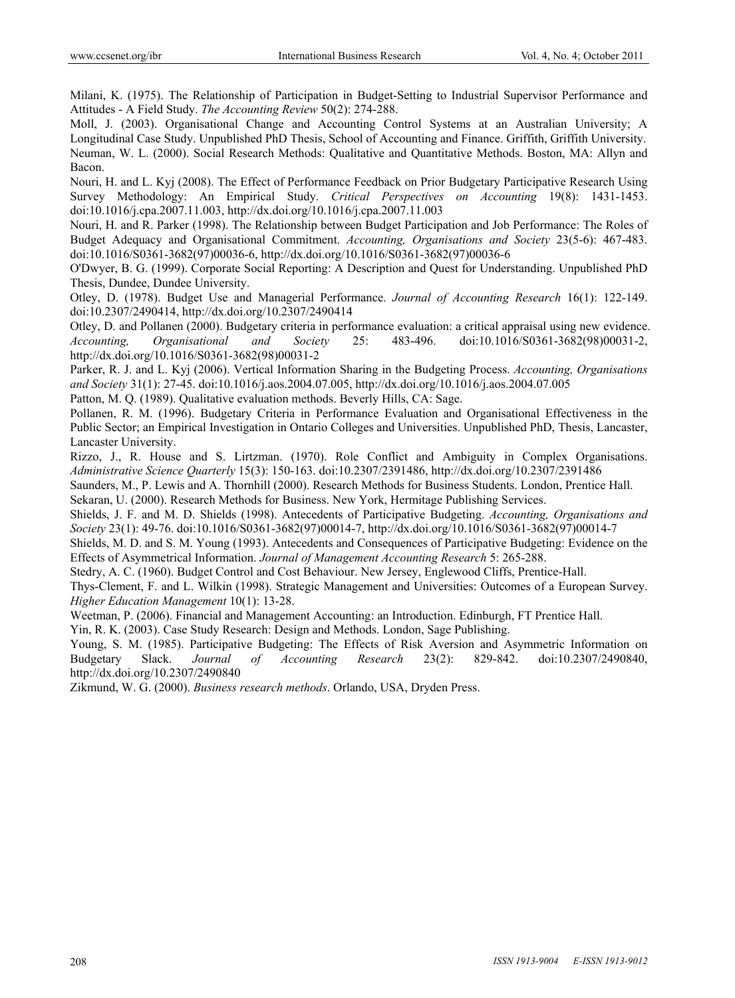Milani, K. (1975). The Relationship of Participation in Budget-Setting to Industrial Supervisor Performance and Attitudes - A Field Study. *The Accounting Review* 50(2): 274-288.

Moll, J. (2003). Organisational Change and Accounting Control Systems at an Australian University; A Longitudinal Case Study. Unpublished PhD Thesis, School of Accounting and Finance. Griffith, Griffith University. Neuman, W. L. (2000). Social Research Methods: Qualitative and Quantitative Methods. Boston, MA: Allyn and Bacon.

Nouri, H. and L. Kyj (2008). The Effect of Performance Feedback on Prior Budgetary Participative Research Using Survey Methodology: An Empirical Study. *Critical Perspectives on Accounting* 19(8): 1431-1453. doi:10.1016/j.cpa.2007.11.003, http://dx.doi.org/10.1016/j.cpa.2007.11.003

Nouri, H. and R. Parker (1998). The Relationship between Budget Participation and Job Performance: The Roles of Budget Adequacy and Organisational Commitment. *Accounting, Organisations and Society* 23(5-6): 467-483. doi:10.1016/S0361-3682(97)00036-6, http://dx.doi.org/10.1016/S0361-3682(97)00036-6

O'Dwyer, B. G. (1999). Corporate Social Reporting: A Description and Quest for Understanding. Unpublished PhD Thesis, Dundee, Dundee University.

Otley, D. (1978). Budget Use and Managerial Performance. *Journal of Accounting Research* 16(1): 122-149. doi:10.2307/2490414, http://dx.doi.org/10.2307/2490414

Otley, D. and Pollanen (2000). Budgetary criteria in performance evaluation: a critical appraisal using new evidence. *Accounting, Organisational and Society* 25: 483-496. doi:10.1016/S0361-3682(98)00031-2, http://dx.doi.org/10.1016/S0361-3682(98)00031-2

Parker, R. J. and L. Kyj (2006). Vertical Information Sharing in the Budgeting Process. *Accounting, Organisations and Society* 31(1): 27-45. doi:10.1016/j.aos.2004.07.005, http://dx.doi.org/10.1016/j.aos.2004.07.005

Patton, M. Q. (1989). Qualitative evaluation methods. Beverly Hills, CA: Sage.

Pollanen, R. M. (1996). Budgetary Criteria in Performance Evaluation and Organisational Effectiveness in the Public Sector; an Empirical Investigation in Ontario Colleges and Universities. Unpublished PhD, Thesis, Lancaster, Lancaster University.

Rizzo, J., R. House and S. Lirtzman. (1970). Role Conflict and Ambiguity in Complex Organisations. *Administrative Science Quarterly* 15(3): 150-163. doi:10.2307/2391486, http://dx.doi.org/10.2307/2391486

Saunders, M., P. Lewis and A. Thornhill (2000). Research Methods for Business Students. London, Prentice Hall. Sekaran, U. (2000). Research Methods for Business. New York, Hermitage Publishing Services.

Shields, J. F. and M. D. Shields (1998). Antecedents of Participative Budgeting. *Accounting, Organisations and Society* 23(1): 49-76. doi:10.1016/S0361-3682(97)00014-7, http://dx.doi.org/10.1016/S0361-3682(97)00014-7

Shields, M. D. and S. M. Young (1993). Antecedents and Consequences of Participative Budgeting: Evidence on the Effects of Asymmetrical Information. *Journal of Management Accounting Research* 5: 265-288.

Stedry, A. C. (1960). Budget Control and Cost Behaviour. New Jersey, Englewood Cliffs, Prentice-Hall.

Thys-Clement, F. and L. Wilkin (1998). Strategic Management and Universities: Outcomes of a European Survey. *Higher Education Management* 10(1): 13-28.

Weetman, P. (2006). Financial and Management Accounting: an Introduction. Edinburgh, FT Prentice Hall.

Yin, R. K. (2003). Case Study Research: Design and Methods. London, Sage Publishing.

Young, S. M. (1985). Participative Budgeting: The Effects of Risk Aversion and Asymmetric Information on Budgetary Slack. *Journal of Accounting Research* 23(2): 829-842. doi:10.2307/2490840, http://dx.doi.org/10.2307/2490840

Zikmund, W. G. (2000). *Business research methods*. Orlando, USA, Dryden Press.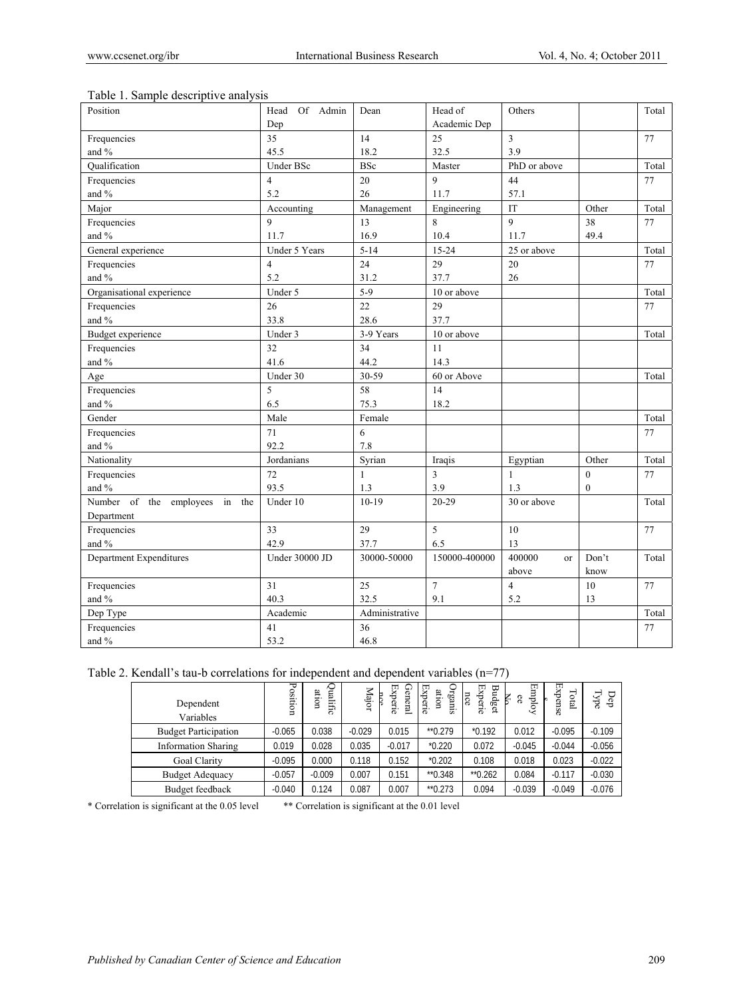| Position                          | Head Of Admin  | Dean           | Head of        | Others              |                  | Total |
|-----------------------------------|----------------|----------------|----------------|---------------------|------------------|-------|
|                                   | Dep            |                | Academic Dep   |                     |                  |       |
| Frequencies                       | 35             | 14             | 25             | $\overline{3}$      |                  | 77    |
| and %                             | 45.5           | 18.2           | 32.5           | 3.9                 |                  |       |
| Qualification                     | Under BSc      | <b>BSc</b>     | Master         | PhD or above        |                  | Total |
| Frequencies                       | $\overline{4}$ | 20             | $\mathbf{Q}$   | 44                  |                  | 77    |
| and $\%$                          | 5.2            | 26             | 11.7           | 57.1                |                  |       |
| Major                             | Accounting     | Management     | Engineering    | IT                  | Other            | Total |
| Frequencies                       | $\mathbf{Q}$   | 13             | 8              | $\mathbf{Q}$        | 38               | 77    |
| and $\%$                          | 11.7           | 16.9           | 10.4           | 11.7                | 49.4             |       |
| General experience                | Under 5 Years  | $5 - 14$       | $15 - 24$      | 25 or above         |                  | Total |
| Frequencies                       | $\overline{4}$ | 24             | 29             | 20                  |                  | 77    |
| and %                             | 5.2            | 31.2           | 37.7           | 26                  |                  |       |
| Organisational experience         | Under 5        | $5-9$          | 10 or above    |                     |                  | Total |
| Frequencies                       | 26             | 22             | 29             |                     |                  | 77    |
| and $\%$                          | 33.8           | 28.6           | 37.7           |                     |                  |       |
| Budget experience                 | Under 3        | 3-9 Years      | 10 or above    |                     |                  | Total |
| Frequencies                       | 32             | 34             | 11             |                     |                  |       |
| and $\%$                          | 41.6           | 44.2           | 14.3           |                     |                  |       |
| Age                               | Under 30       | 30-59          | 60 or Above    |                     |                  | Total |
| Frequencies                       | 5              | 58             | 14             |                     |                  |       |
| and $\%$                          | 6.5            | 75.3           | 18.2           |                     |                  |       |
| Gender                            | Male           | Female         |                |                     |                  | Total |
| Frequencies                       | 71             | 6              |                |                     |                  | 77    |
| and %                             | 92.2           | 7.8            |                |                     |                  |       |
| Nationality                       | Jordanians     | Syrian         | Iraqis         | Egyptian            | Other            | Total |
| Frequencies                       | 72             | $\mathbf{1}$   | $\overline{3}$ | $\mathbf{1}$        | $\mathbf{0}$     | 77    |
| and %                             | 93.5           | 1.3            | 3.9            | 1.3                 | $\boldsymbol{0}$ |       |
| Number of the employees in<br>the | Under 10       | $10-19$        | $20 - 29$      | 30 or above         |                  | Total |
| Department                        |                |                |                |                     |                  |       |
| Frequencies                       | 33             | 29             | 5              | 10                  |                  | 77    |
| and $%$                           | 42.9           | 37.7           | 6.5            | 13                  |                  |       |
| Department Expenditures           | Under 30000 JD | 30000-50000    | 150000-400000  | 400000<br><b>or</b> | Don't            | Total |
|                                   |                |                |                | above               | know             |       |
| Frequencies                       | 31             | 25             | $\overline{7}$ | $\overline{4}$      | 10               | 77    |
| and %                             | 40.3           | 32.5           | 9.1            | 5.2                 | 13               |       |
| Dep Type                          | Academic       | Administrative |                |                     |                  | Total |
| Frequencies                       | 41             | 36             |                |                     |                  | 77    |
| and $\%$                          | 53.2           | 46.8           |                |                     |                  |       |

#### Table 1. Sample descriptive analysis

# Table 2. Kendall's tau-b correlations for independent and dependent variables (n=77)

| Dependent<br>Variables      | Position | C<br>ation<br>pualifi | Major    | General<br>Exper<br>ಸ | Experie<br>Jrganis<br>ation | Experie<br><b>Budget</b><br>nce | Empl<br>No<br>႙<br>Ċ, | qхД<br>Total<br>ense | Type<br>Dep |
|-----------------------------|----------|-----------------------|----------|-----------------------|-----------------------------|---------------------------------|-----------------------|----------------------|-------------|
| <b>Budget Participation</b> | $-0.065$ | 0.038                 | $-0.029$ | 0.015                 | $*$ 0.279                   | $*0.192$                        | 0.012                 | $-0.095$             | $-0.109$    |
| <b>Information Sharing</b>  | 0.019    | 0.028                 | 0.035    | $-0.017$              | $*0.220$                    | 0.072                           | $-0.045$              | $-0.044$             | $-0.056$    |
| <b>Goal Clarity</b>         | $-0.095$ | 0.000                 | 0.118    | 0.152                 | $*0.202$                    | 0.108                           | 0.018                 | 0.023                | $-0.022$    |
| <b>Budget Adequacy</b>      | $-0.057$ | $-0.009$              | 0.007    | 0.151                 | $*$ 0.348                   | ** $0.262$                      | 0.084                 | $-0.117$             | $-0.030$    |
| Budget feedback             | $-0.040$ | 0.124                 | 0.087    | 0.007                 | $*$ 0.273                   | 0.094                           | $-0.039$              | $-0.049$             | $-0.076$    |

\* Correlation is significant at the 0.05 level \*\* Correlation is significant at the 0.01 level